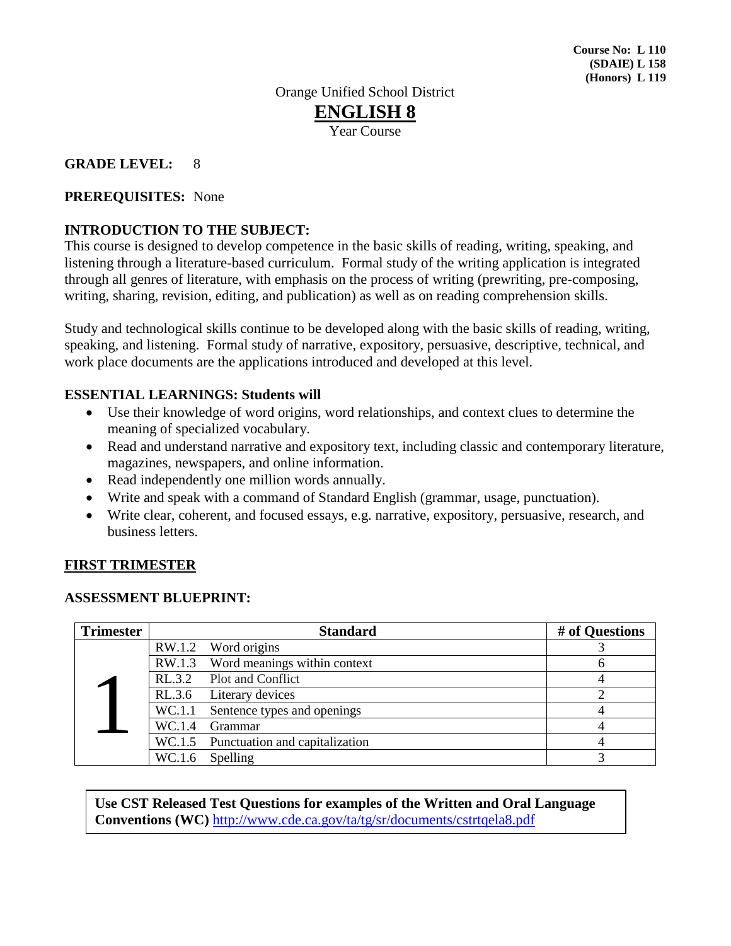## **GRADE LEVEL:** 8

## **PREREQUISITES:** None

## **INTRODUCTION TO THE SUBJECT:**

This course is designed to develop competence in the basic skills of reading, writing, speaking, and listening through a literature-based curriculum. Formal study of the writing application is integrated through all genres of literature, with emphasis on the process of writing (prewriting, pre-composing, writing, sharing, revision, editing, and publication) as well as on reading comprehension skills.

Study and technological skills continue to be developed along with the basic skills of reading, writing, speaking, and listening. Formal study of narrative, expository, persuasive, descriptive, technical, and work place documents are the applications introduced and developed at this level.

## **ESSENTIAL LEARNINGS: Students will**

- Use their knowledge of word origins, word relationships, and context clues to determine the meaning of specialized vocabulary.
- Read and understand narrative and expository text, including classic and contemporary literature, magazines, newspapers, and online information.
- Read independently one million words annually.
- Write and speak with a command of Standard English (grammar, usage, punctuation).
- Write clear, coherent, and focused essays, e.g. narrative, expository, persuasive, research, and business letters.

## **FIRST TRIMESTER**

#### **ASSESSMENT BLUEPRINT:**

| <b>Trimester</b> |        | <b>Standard</b>                       | # of Questions |
|------------------|--------|---------------------------------------|----------------|
|                  | RW.1.2 | Word origins                          |                |
|                  |        | RW.1.3 Word meanings within context   | o              |
|                  |        | RL.3.2 Plot and Conflict              |                |
|                  |        | RL.3.6 Literary devices               |                |
|                  |        | WC.1.1 Sentence types and openings    |                |
|                  | WC.1.4 | <b>Grammar</b>                        |                |
|                  |        | WC.1.5 Punctuation and capitalization |                |
|                  | WC.1.6 | Spelling                              |                |

**Use CST Released Test Questions for examples of the Written and Oral Language Conventions (WC)** <http://www.cde.ca.gov/ta/tg/sr/documents/cstrtqela8.pdf>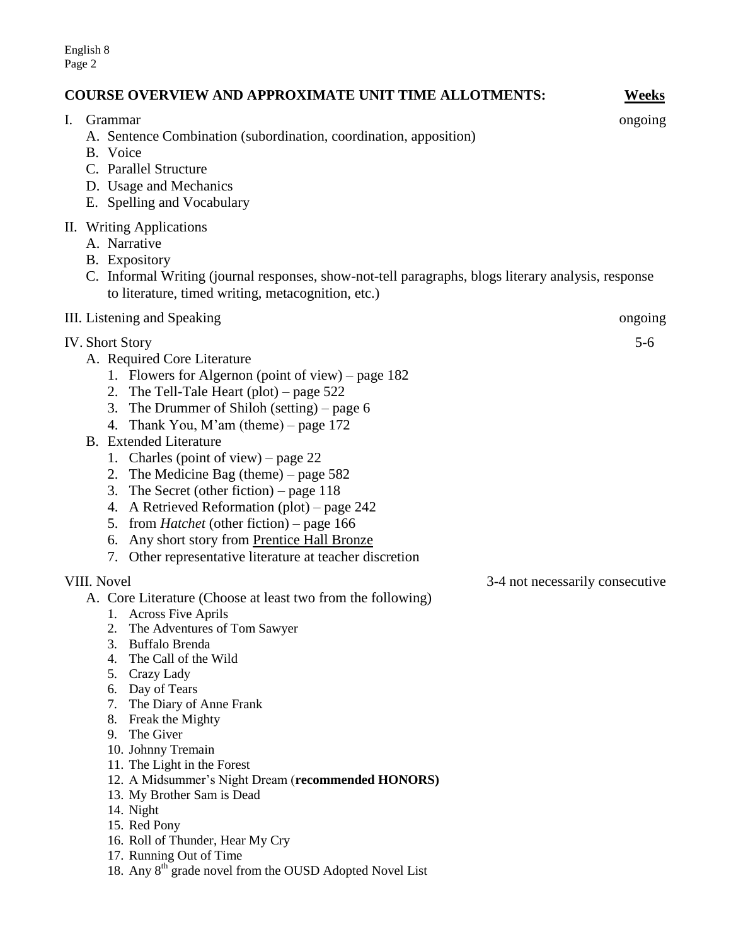English 8 Page 2

## **COURSE OVERVIEW AND APPROXIMATE UNIT TIME ALLOTMENTS: Weeks**

I. Grammar ongoing

- A. Sentence Combination (subordination, coordination, apposition) B. Voice C. Parallel Structure D. Usage and Mechanics E. Spelling and Vocabulary II. Writing Applications A. Narrative B. Expository C. Informal Writing (journal responses, show-not-tell paragraphs, blogs literary analysis, response to literature, timed writing, metacognition, etc.) III. Listening and Speaking ongoing ongoing ongoing ongoing ongoing the state of the state of the state of the state of the state of the state of the state of the state of the state of the state of the state of the state o IV. Short Story 5-6 A. Required Core Literature 1. Flowers for Algernon (point of view) – page 182 2. The Tell-Tale Heart (plot) – page 522 3. The Drummer of Shiloh (setting) – page 6 4. Thank You, M'am (theme) – page  $172$ B. Extended Literature 1. Charles (point of view) – page 22 2. The Medicine Bag (theme) – page 582 3. The Secret (other fiction) – page 118 4. A Retrieved Reformation (plot) – page 242 5. from *Hatchet* (other fiction) – page 166 6. Any short story from Prentice Hall Bronze 7. Other representative literature at teacher discretion VIII. Novel 3-4 not necessarily consecutive A. Core Literature (Choose at least two from the following) 1. Across Five Aprils 2. The Adventures of Tom Sawyer 3. Buffalo Brenda 4. The Call of the Wild 5. Crazy Lady 6. Day of Tears 7. The Diary of Anne Frank 8. Freak the Mighty 9. The Giver 10. Johnny Tremain 11. The Light in the Forest 12. A Midsummer's Night Dream (**recommended HONORS)** 13. My Brother Sam is Dead 14. Night
	- 15. Red Pony
	- 16. Roll of Thunder, Hear My Cry
	- 17. Running Out of Time
	- 18. Any 8<sup>th</sup> grade novel from the OUSD Adopted Novel List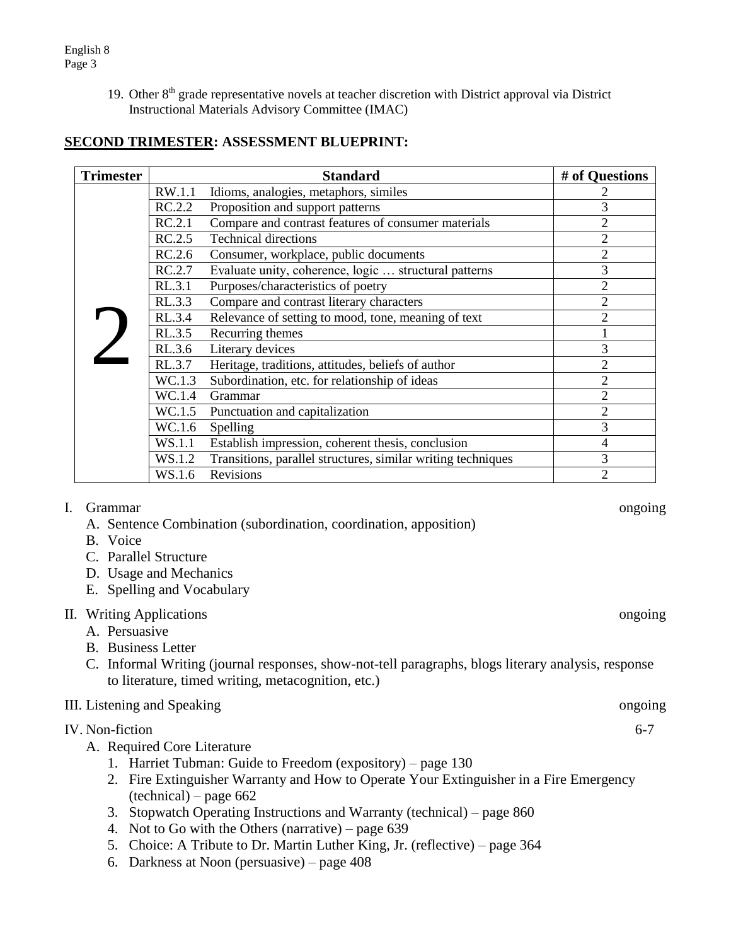19. Other 8<sup>th</sup> grade representative novels at teacher discretion with District approval via District Instructional Materials Advisory Committee (IMAC)

# **SECOND TRIMESTER: ASSESSMENT BLUEPRINT:**

| <b>Trimester</b> |        | <b>Standard</b>                                              | # of Questions |
|------------------|--------|--------------------------------------------------------------|----------------|
|                  | RW.1.1 | Idioms, analogies, metaphors, similes                        |                |
|                  | RC.2.2 | Proposition and support patterns                             | 3              |
|                  | RC.2.1 | Compare and contrast features of consumer materials          | $\overline{2}$ |
|                  | RC.2.5 | <b>Technical directions</b>                                  | $\overline{2}$ |
|                  | RC.2.6 | Consumer, workplace, public documents                        | $\overline{2}$ |
|                  | RC.2.7 | Evaluate unity, coherence, logic  structural patterns        | 3              |
|                  | RL.3.1 | Purposes/characteristics of poetry                           | 2              |
|                  | RL.3.3 | Compare and contrast literary characters                     | $\overline{2}$ |
|                  | RL.3.4 | Relevance of setting to mood, tone, meaning of text          | $\overline{2}$ |
|                  | RL.3.5 | Recurring themes                                             |                |
|                  | RL.3.6 | Literary devices                                             | 3              |
|                  | RL.3.7 | Heritage, traditions, attitudes, beliefs of author           | 2              |
|                  | WC.1.3 | Subordination, etc. for relationship of ideas                | $\overline{2}$ |
|                  | WC.1.4 | Grammar                                                      | $\overline{2}$ |
|                  | WC.1.5 | Punctuation and capitalization                               | $\overline{2}$ |
|                  | WC.1.6 | Spelling                                                     | 3              |
|                  | WS.1.1 | Establish impression, coherent thesis, conclusion            | 4              |
|                  | WS.1.2 | Transitions, parallel structures, similar writing techniques | 3              |
|                  | WS.1.6 | Revisions                                                    | 2              |

## I. Grammar ongoing

- A. Sentence Combination (subordination, coordination, apposition)
- B. Voice
- C. Parallel Structure
- D. Usage and Mechanics
- E. Spelling and Vocabulary

## II. Writing Applications ongoing

- A. Persuasive
- B. Business Letter
- C. Informal Writing (journal responses, show-not-tell paragraphs, blogs literary analysis, response to literature, timed writing, metacognition, etc.)

# III. Listening and Speaking ongoing ongoing

## IV. Non-fiction 6-7

- A. Required Core Literature
	- 1. Harriet Tubman: Guide to Freedom (expository) page 130
	- 2. Fire Extinguisher Warranty and How to Operate Your Extinguisher in a Fire Emergency (technical) – page 662
	- 3. Stopwatch Operating Instructions and Warranty (technical) page 860
	- 4. Not to Go with the Others (narrative) page 639
	- 5. Choice: A Tribute to Dr. Martin Luther King, Jr. (reflective) page 364
	- 6. Darkness at Noon (persuasive) page 408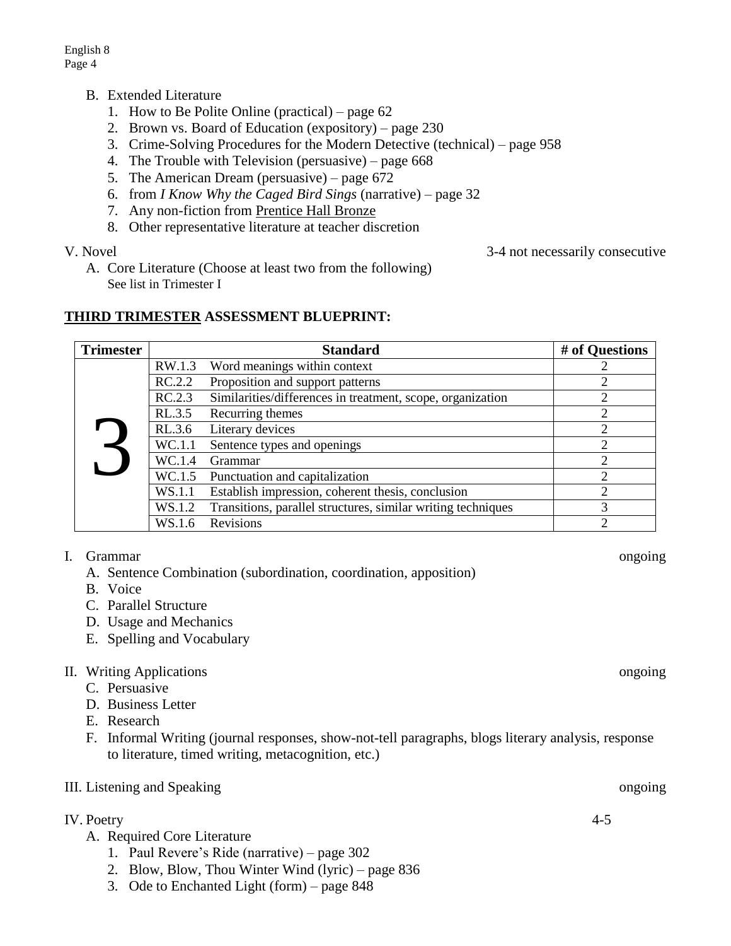- B. Extended Literature
	- 1. How to Be Polite Online (practical) page 62
	- 2. Brown vs. Board of Education (expository) page 230
	- 3. Crime-Solving Procedures for the Modern Detective (technical) page 958
	- 4. The Trouble with Television (persuasive) page 668
	- 5. The American Dream (persuasive) page 672
	- 6. from *I Know Why the Caged Bird Sings* (narrative) page 32
	- 7. Any non-fiction from Prentice Hall Bronze
	- 8. Other representative literature at teacher discretion

A. Core Literature (Choose at least two from the following) See list in Trimester I

## **THIRD TRIMESTER ASSESSMENT BLUEPRINT:**

| <b>Trimester</b> |        | <b>Standard</b>                                              | # of Questions |
|------------------|--------|--------------------------------------------------------------|----------------|
|                  | RW.1.3 | Word meanings within context                                 |                |
|                  | RC.2.2 | Proposition and support patterns                             |                |
|                  | RC.2.3 | Similarities/differences in treatment, scope, organization   |                |
|                  | RL.3.5 | Recurring themes                                             |                |
|                  | RL.3.6 | Literary devices                                             | ⌒              |
|                  | WC.1.1 | Sentence types and openings                                  | $\overline{c}$ |
|                  | WC.1.4 | Grammar                                                      | ↑              |
|                  | WC.1.5 | Punctuation and capitalization                               |                |
|                  | WS.1.1 | Establish impression, coherent thesis, conclusion            | 2              |
|                  | WS.1.2 | Transitions, parallel structures, similar writing techniques | 3              |
|                  | WS.1.6 | Revisions                                                    |                |

## I. Grammar ongoing

- A. Sentence Combination (subordination, coordination, apposition)
- B. Voice
- C. Parallel Structure
- D. Usage and Mechanics
- E. Spelling and Vocabulary

## II. Writing Applications ongoing

- C. Persuasive
- D. Business Letter
- E. Research
- F. Informal Writing (journal responses, show-not-tell paragraphs, blogs literary analysis, response to literature, timed writing, metacognition, etc.)

## III. Listening and Speaking ongoing ongoing

# IV. Poetry 4-5

- A. Required Core Literature
	- 1. Paul Revere's Ride (narrative) page 302
	- 2. Blow, Blow, Thou Winter Wind (lyric) page 836
	- 3. Ode to Enchanted Light (form) page 848

V. Novel 3-4 not necessarily consecutive  $\frac{3-4}{2}$  not necessarily consecutive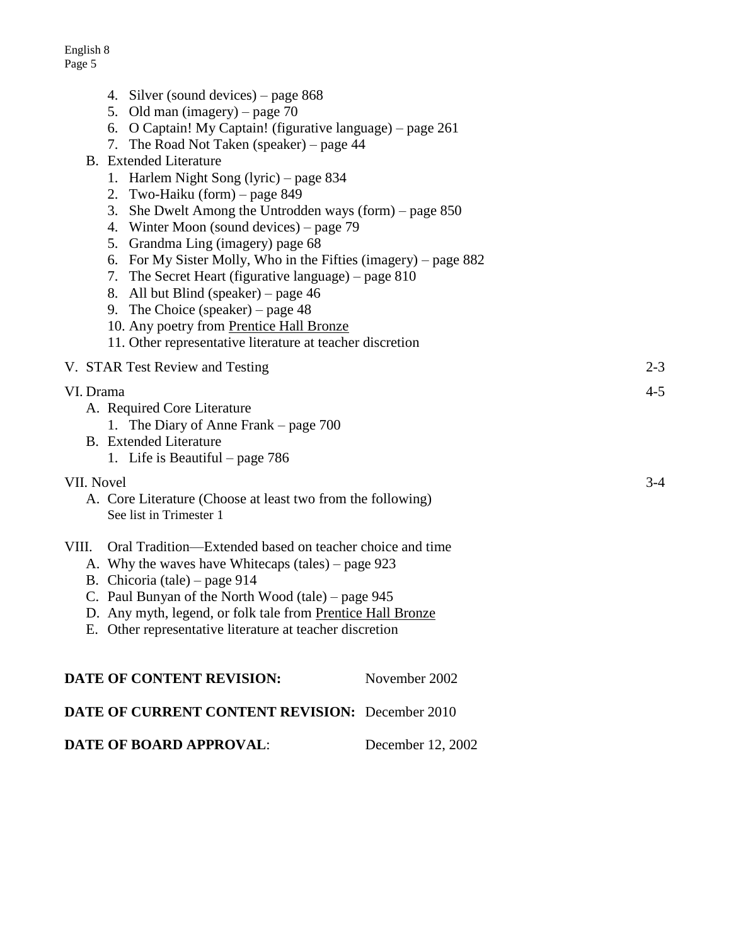English 8 Page 5

|  |  |  |  | 4. Silver (sound devices) – page 868 |
|--|--|--|--|--------------------------------------|
|--|--|--|--|--------------------------------------|

- 5. Old man (imagery) page 70
- 6. O Captain! My Captain! (figurative language) page 261
- 7. The Road Not Taken (speaker) page 44
- B. Extended Literature
	- 1. Harlem Night Song (lyric) page 834
	- 2. Two-Haiku (form) page 849
	- 3. She Dwelt Among the Untrodden ways (form) page 850
	- 4. Winter Moon (sound devices) page 79
	- 5. Grandma Ling (imagery) page 68
	- 6. For My Sister Molly, Who in the Fifties (imagery) page 882
	- 7. The Secret Heart (figurative language) page 810
	- 8. All but Blind (speaker) page 46
	- 9. The Choice (speaker) page 48
	- 10. Any poetry from Prentice Hall Bronze
	- 11. Other representative literature at teacher discretion

V. STAR Test Review and Testing 2-3

#### VI. Drama 4-5

- A. Required Core Literature
	- 1. The Diary of Anne Frank page 700
- B. Extended Literature
	- 1. Life is Beautiful page 786

## VII. Novel 3-4

- A. Core Literature (Choose at least two from the following) See list in Trimester 1
- VIII. Oral Tradition—Extended based on teacher choice and time
	- A. Why the waves have Whitecaps (tales) page 923
	- B. Chicoria (tale) page 914
	- C. Paul Bunyan of the North Wood (tale) page 945
	- D. Any myth, legend, or folk tale from Prentice Hall Bronze
	- E. Other representative literature at teacher discretion

| DATE OF CONTENT REVISION:                              | November 2002     |
|--------------------------------------------------------|-------------------|
| <b>DATE OF CURRENT CONTENT REVISION:</b> December 2010 |                   |
| <b>DATE OF BOARD APPROVAL:</b>                         | December 12, 2002 |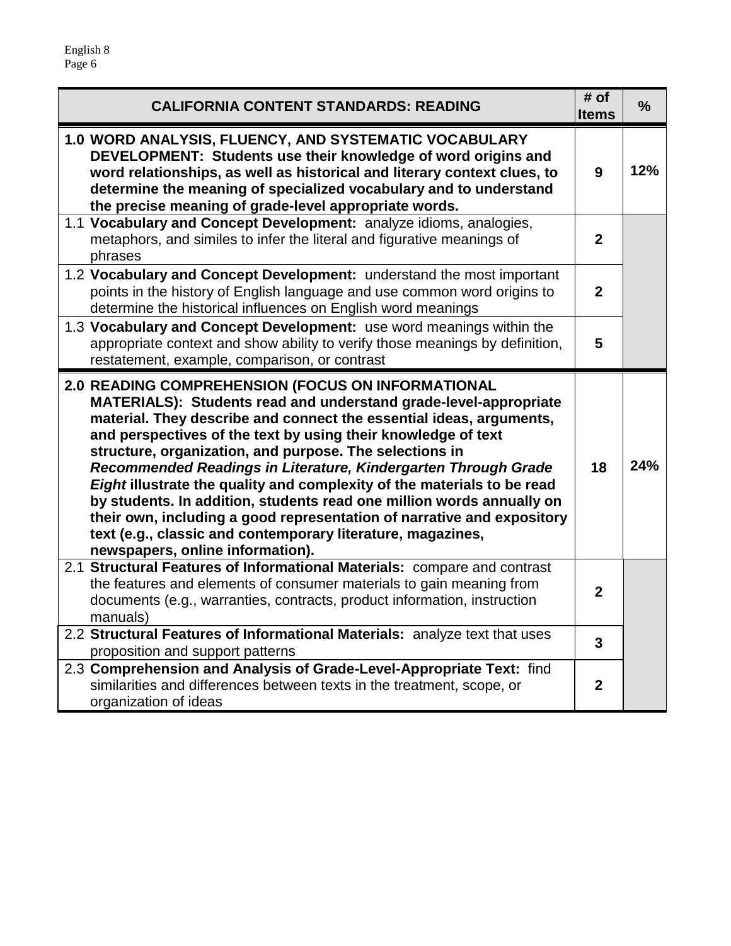| <b>CALIFORNIA CONTENT STANDARDS: READING</b>                                                                                                                                                                                                                                                                                                                                                                                                                                                                                                                                                                                                                                                                                | # of<br><b>Items</b> | $\frac{0}{0}$ |
|-----------------------------------------------------------------------------------------------------------------------------------------------------------------------------------------------------------------------------------------------------------------------------------------------------------------------------------------------------------------------------------------------------------------------------------------------------------------------------------------------------------------------------------------------------------------------------------------------------------------------------------------------------------------------------------------------------------------------------|----------------------|---------------|
| 1.0 WORD ANALYSIS, FLUENCY, AND SYSTEMATIC VOCABULARY<br>DEVELOPMENT: Students use their knowledge of word origins and<br>word relationships, as well as historical and literary context clues, to<br>determine the meaning of specialized vocabulary and to understand<br>the precise meaning of grade-level appropriate words.                                                                                                                                                                                                                                                                                                                                                                                            | 9                    | 12%           |
| 1.1 Vocabulary and Concept Development: analyze idioms, analogies,<br>metaphors, and similes to infer the literal and figurative meanings of<br>phrases                                                                                                                                                                                                                                                                                                                                                                                                                                                                                                                                                                     | $\mathbf{2}$         |               |
| 1.2 Vocabulary and Concept Development: understand the most important<br>points in the history of English language and use common word origins to<br>determine the historical influences on English word meanings                                                                                                                                                                                                                                                                                                                                                                                                                                                                                                           | $\mathbf{2}$         |               |
| 1.3 Vocabulary and Concept Development: use word meanings within the<br>appropriate context and show ability to verify those meanings by definition,<br>restatement, example, comparison, or contrast                                                                                                                                                                                                                                                                                                                                                                                                                                                                                                                       | 5                    |               |
| 2.0 READING COMPREHENSION (FOCUS ON INFORMATIONAL<br>MATERIALS): Students read and understand grade-level-appropriate<br>material. They describe and connect the essential ideas, arguments,<br>and perspectives of the text by using their knowledge of text<br>structure, organization, and purpose. The selections in<br>Recommended Readings in Literature, Kindergarten Through Grade<br>Eight illustrate the quality and complexity of the materials to be read<br>by students. In addition, students read one million words annually on<br>their own, including a good representation of narrative and expository<br>text (e.g., classic and contemporary literature, magazines,<br>newspapers, online information). | 18                   | 24%           |
| 2.1 Structural Features of Informational Materials: compare and contrast<br>the features and elements of consumer materials to gain meaning from<br>documents (e.g., warranties, contracts, product information, instruction<br>manuals)                                                                                                                                                                                                                                                                                                                                                                                                                                                                                    | $\mathbf{2}$         |               |
| 2.2 Structural Features of Informational Materials: analyze text that uses<br>proposition and support patterns                                                                                                                                                                                                                                                                                                                                                                                                                                                                                                                                                                                                              | 3                    |               |
| 2.3 Comprehension and Analysis of Grade-Level-Appropriate Text: find<br>similarities and differences between texts in the treatment, scope, or<br>organization of ideas                                                                                                                                                                                                                                                                                                                                                                                                                                                                                                                                                     | $\overline{2}$       |               |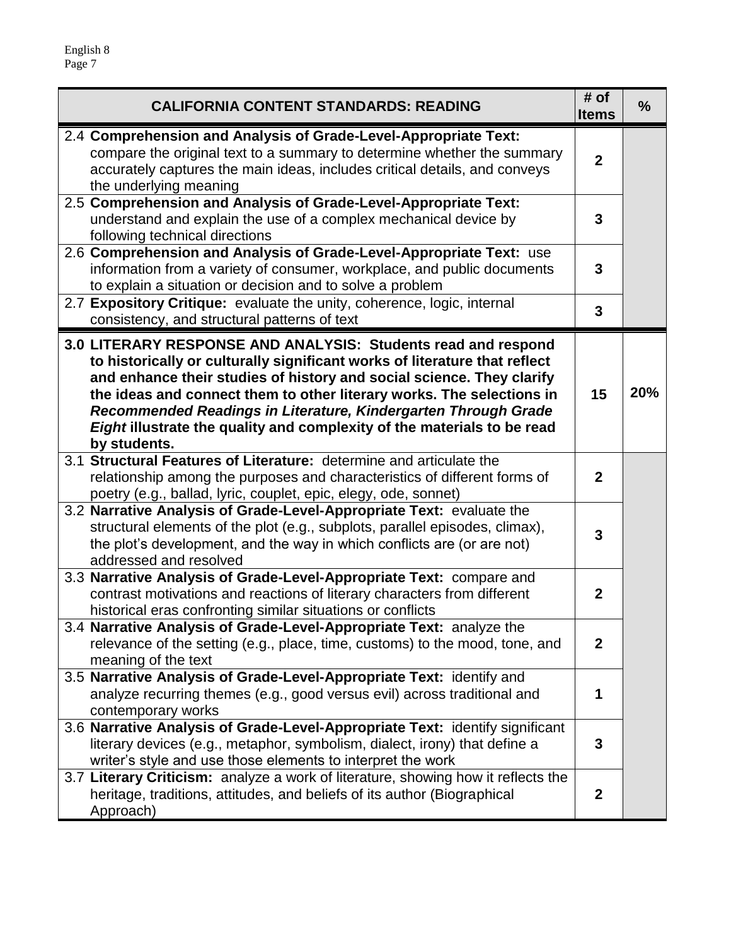| <b>CALIFORNIA CONTENT STANDARDS: READING</b>                                                                                                                                                                                                                                                                                                                                                                                                               | # of<br><b>Items</b> | $\frac{9}{6}$ |
|------------------------------------------------------------------------------------------------------------------------------------------------------------------------------------------------------------------------------------------------------------------------------------------------------------------------------------------------------------------------------------------------------------------------------------------------------------|----------------------|---------------|
| 2.4 Comprehension and Analysis of Grade-Level-Appropriate Text:<br>compare the original text to a summary to determine whether the summary<br>accurately captures the main ideas, includes critical details, and conveys<br>the underlying meaning                                                                                                                                                                                                         | $\overline{2}$       |               |
| 2.5 Comprehension and Analysis of Grade-Level-Appropriate Text:<br>understand and explain the use of a complex mechanical device by<br>following technical directions                                                                                                                                                                                                                                                                                      | 3                    |               |
| 2.6 Comprehension and Analysis of Grade-Level-Appropriate Text: use<br>information from a variety of consumer, workplace, and public documents<br>to explain a situation or decision and to solve a problem                                                                                                                                                                                                                                                | 3                    |               |
| 2.7 Expository Critique: evaluate the unity, coherence, logic, internal<br>consistency, and structural patterns of text                                                                                                                                                                                                                                                                                                                                    | 3                    |               |
| 3.0 LITERARY RESPONSE AND ANALYSIS: Students read and respond<br>to historically or culturally significant works of literature that reflect<br>and enhance their studies of history and social science. They clarify<br>the ideas and connect them to other literary works. The selections in<br>Recommended Readings in Literature, Kindergarten Through Grade<br>Eight illustrate the quality and complexity of the materials to be read<br>by students. | 15                   | 20%           |
| 3.1 Structural Features of Literature: determine and articulate the<br>relationship among the purposes and characteristics of different forms of<br>poetry (e.g., ballad, lyric, couplet, epic, elegy, ode, sonnet)                                                                                                                                                                                                                                        | $\mathbf{2}$         |               |
| 3.2 Narrative Analysis of Grade-Level-Appropriate Text: evaluate the<br>structural elements of the plot (e.g., subplots, parallel episodes, climax),<br>the plot's development, and the way in which conflicts are (or are not)<br>addressed and resolved                                                                                                                                                                                                  | 3                    |               |
| 3.3 Narrative Analysis of Grade-Level-Appropriate Text: compare and<br>contrast motivations and reactions of literary characters from different<br>historical eras confronting similar situations or conflicts                                                                                                                                                                                                                                             | $\mathbf{2}$         |               |
| 3.4 Narrative Analysis of Grade-Level-Appropriate Text: analyze the<br>relevance of the setting (e.g., place, time, customs) to the mood, tone, and<br>meaning of the text                                                                                                                                                                                                                                                                                 | $\mathbf{2}$         |               |
| 3.5 Narrative Analysis of Grade-Level-Appropriate Text: identify and<br>analyze recurring themes (e.g., good versus evil) across traditional and<br>contemporary works                                                                                                                                                                                                                                                                                     | 1                    |               |
| 3.6 Narrative Analysis of Grade-Level-Appropriate Text: identify significant<br>literary devices (e.g., metaphor, symbolism, dialect, irony) that define a<br>writer's style and use those elements to interpret the work                                                                                                                                                                                                                                  | 3                    |               |
| 3.7 Literary Criticism: analyze a work of literature, showing how it reflects the<br>heritage, traditions, attitudes, and beliefs of its author (Biographical<br>Approach)                                                                                                                                                                                                                                                                                 | $\boldsymbol{2}$     |               |